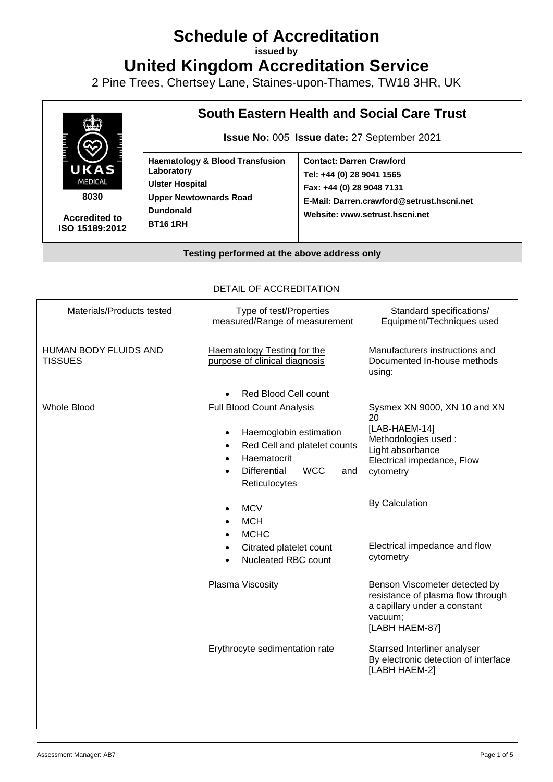# **Schedule of Accreditation**

**issued by**

**United Kingdom Accreditation Service**

2 Pine Trees, Chertsey Lane, Staines-upon-Thames, TW18 3HR, UK



DETAIL OF ACCREDITATION

| Materials/Products tested               | Type of test/Properties<br>measured/Range of measurement                                                                                                                                | Standard specifications/<br>Equipment/Techniques used                                                                                     |
|-----------------------------------------|-----------------------------------------------------------------------------------------------------------------------------------------------------------------------------------------|-------------------------------------------------------------------------------------------------------------------------------------------|
| HUMAN BODY FLUIDS AND<br><b>TISSUES</b> | <b>Haematology Testing for the</b><br>purpose of clinical diagnosis                                                                                                                     | Manufacturers instructions and<br>Documented In-house methods<br>using:                                                                   |
| <b>Whole Blood</b>                      | Red Blood Cell count<br>Full Blood Count Analysis<br>Haemoglobin estimation<br>Red Cell and platelet counts<br>Haematocrit<br><b>WCC</b><br><b>Differential</b><br>and<br>Reticulocytes | Sysmex XN 9000, XN 10 and XN<br>20<br>[LAB-HAEM-14]<br>Methodologies used:<br>Light absorbance<br>Electrical impedance, Flow<br>cytometry |
|                                         | <b>MCV</b><br><b>MCH</b><br><b>MCHC</b><br>Citrated platelet count<br>Nucleated RBC count                                                                                               | By Calculation<br>Electrical impedance and flow<br>cytometry                                                                              |
|                                         | Plasma Viscosity                                                                                                                                                                        | Benson Viscometer detected by<br>resistance of plasma flow through<br>a capillary under a constant<br>vacuum;<br>[LABH HAEM-87]           |
|                                         | Erythrocyte sedimentation rate                                                                                                                                                          | Starrsed Interliner analyser<br>By electronic detection of interface<br>[LABH HAEM-2]                                                     |
|                                         |                                                                                                                                                                                         |                                                                                                                                           |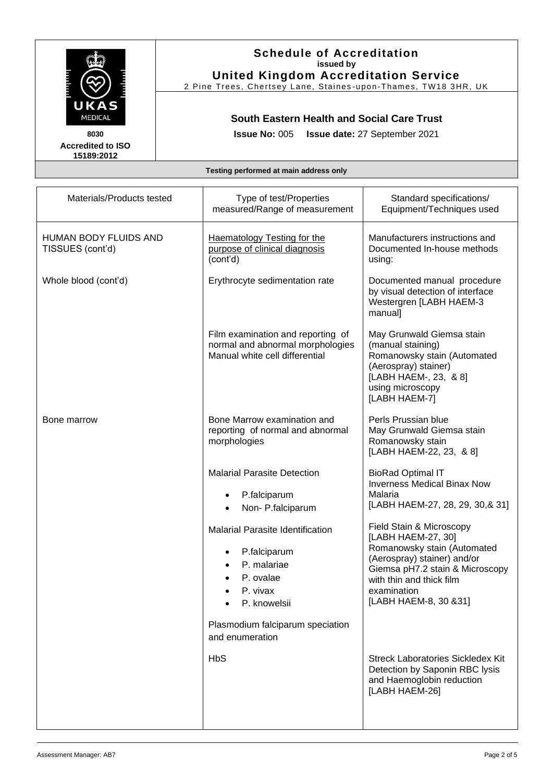

**Accredited to ISO 15189:2012** 

## **Schedule of Accreditation issued by United Kingdom Accreditation Service**

2 Pine Trees, Chertsey Lane, Staines -upon -Thames, TW18 3HR, UK

### **South Eastern Health and Social Care Trust**

**Issue No:** 005 **Issue date:** 27 September 2021

### **Testing performed at main address only**

| Materials/Products tested                 | Type of test/Properties<br>measured/Range of measurement                                                                                  | Standard specifications/<br>Equipment/Techniques used                                                                                                                                                                |
|-------------------------------------------|-------------------------------------------------------------------------------------------------------------------------------------------|----------------------------------------------------------------------------------------------------------------------------------------------------------------------------------------------------------------------|
| HUMAN BODY FLUIDS AND<br>TISSUES (cont'd) | <b>Haematology Testing for the</b><br>purpose of clinical diagnosis<br>(cont'd)                                                           | Manufacturers instructions and<br>Documented In-house methods<br>using:                                                                                                                                              |
| Whole blood (cont'd)                      | Erythrocyte sedimentation rate                                                                                                            | Documented manual procedure<br>by visual detection of interface<br>Westergren [LABH HAEM-3<br>manual]                                                                                                                |
|                                           | Film examination and reporting of<br>normal and abnormal morphologies<br>Manual white cell differential                                   | May Grunwald Giemsa stain<br>(manual staining)<br>Romanowsky stain (Automated<br>(Aerospray) stainer)<br>[LABH HAEM-, 23, & 8]<br>using microscopy<br>[LABH HAEM-7]                                                  |
| Bone marrow                               | Bone Marrow examination and<br>reporting of normal and abnormal<br>morphologies                                                           | Perls Prussian blue<br>May Grunwald Giemsa stain<br>Romanowsky stain<br>[LABH HAEM-22, 23, & 8]                                                                                                                      |
|                                           | <b>Malarial Parasite Detection</b><br>P.falciparum<br>$\bullet$<br>Non-P.falciparum<br>$\bullet$                                          | <b>BioRad Optimal IT</b><br><b>Inverness Medical Binax Now</b><br>Malaria<br>[LABH HAEM-27, 28, 29, 30, & 31]                                                                                                        |
|                                           | <b>Malarial Parasite Identification</b><br>P.falciparum<br>$\bullet$<br>P. malariae<br>$\bullet$<br>P. ovalae<br>P. vivax<br>P. knowelsii | Field Stain & Microscopy<br>[LABH HAEM-27, 30]<br>Romanowsky stain (Automated<br>(Aerospray) stainer) and/or<br>Giemsa pH7.2 stain & Microscopy<br>with thin and thick film<br>examination<br>[LABH HAEM-8, 30 & 31] |
|                                           | Plasmodium falciparum speciation<br>and enumeration                                                                                       |                                                                                                                                                                                                                      |
|                                           | <b>HbS</b>                                                                                                                                | <b>Streck Laboratories Sickledex Kit</b><br>Detection by Saponin RBC lysis<br>and Haemoglobin reduction<br>[LABH HAEM-26]                                                                                            |
|                                           |                                                                                                                                           |                                                                                                                                                                                                                      |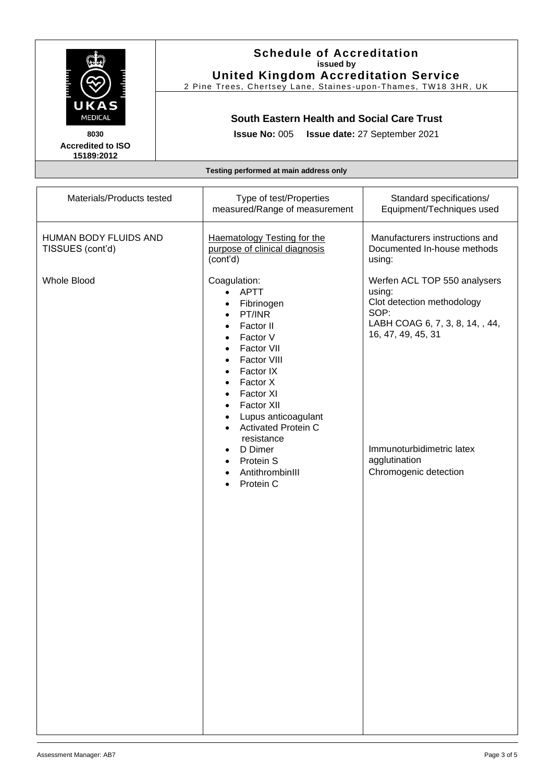|                                                                                                                                                                                          | <b>Schedule of Accreditation</b><br>issued by<br><b>United Kingdom Accreditation Service</b><br>2 Pine Trees, Chertsey Lane, Staines-upon-Thames, TW18 3HR, UK<br><b>South Eastern Health and Social Care Trust</b><br><b>Issue No: 005</b><br>Issue date: 27 September 2021 |                                                                                                                                                                                                                                                                                                                                                                                                                                                                   |                                                                                                                                                                                                              |
|------------------------------------------------------------------------------------------------------------------------------------------------------------------------------------------|------------------------------------------------------------------------------------------------------------------------------------------------------------------------------------------------------------------------------------------------------------------------------|-------------------------------------------------------------------------------------------------------------------------------------------------------------------------------------------------------------------------------------------------------------------------------------------------------------------------------------------------------------------------------------------------------------------------------------------------------------------|--------------------------------------------------------------------------------------------------------------------------------------------------------------------------------------------------------------|
| UKAS<br>MEDICAL<br>8030<br><b>Accredited to ISO</b><br>15189:2012                                                                                                                        |                                                                                                                                                                                                                                                                              |                                                                                                                                                                                                                                                                                                                                                                                                                                                                   |                                                                                                                                                                                                              |
| Testing performed at main address only<br>Materials/Products tested<br>Type of test/Properties<br>Standard specifications/<br>measured/Range of measurement<br>Equipment/Techniques used |                                                                                                                                                                                                                                                                              |                                                                                                                                                                                                                                                                                                                                                                                                                                                                   |                                                                                                                                                                                                              |
| HUMAN BODY FLUIDS AND<br>TISSUES (cont'd)                                                                                                                                                |                                                                                                                                                                                                                                                                              | <b>Haematology Testing for the</b><br>purpose of clinical diagnosis<br>(cont'd)                                                                                                                                                                                                                                                                                                                                                                                   | Manufacturers instructions and<br>Documented In-house methods<br>using:                                                                                                                                      |
| <b>Whole Blood</b>                                                                                                                                                                       |                                                                                                                                                                                                                                                                              | Coagulation:<br><b>APTT</b><br>$\bullet$<br>Fibrinogen<br>$\bullet$<br>PT/INR<br>$\bullet$<br>Factor II<br>$\bullet$<br>Factor V<br>$\bullet$<br>Factor VII<br>$\bullet$<br>Factor VIII<br>$\bullet$<br>Factor IX<br>$\bullet$<br>Factor X<br>$\bullet$<br>Factor XI<br>$\bullet$<br>Factor XII<br>$\bullet$<br>Lupus anticoagulant<br>$\bullet$<br><b>Activated Protein C</b><br>$\bullet$<br>resistance<br>D Dimer<br>Protein S<br>AntithrombinIII<br>Protein C | Werfen ACL TOP 550 analysers<br>using:<br>Clot detection methodology<br>SOP:<br>LABH COAG 6, 7, 3, 8, 14, , 44,<br>16, 47, 49, 45, 31<br>Immunoturbidimetric latex<br>agglutination<br>Chromogenic detection |

 $\mathsf{r}$ 

Т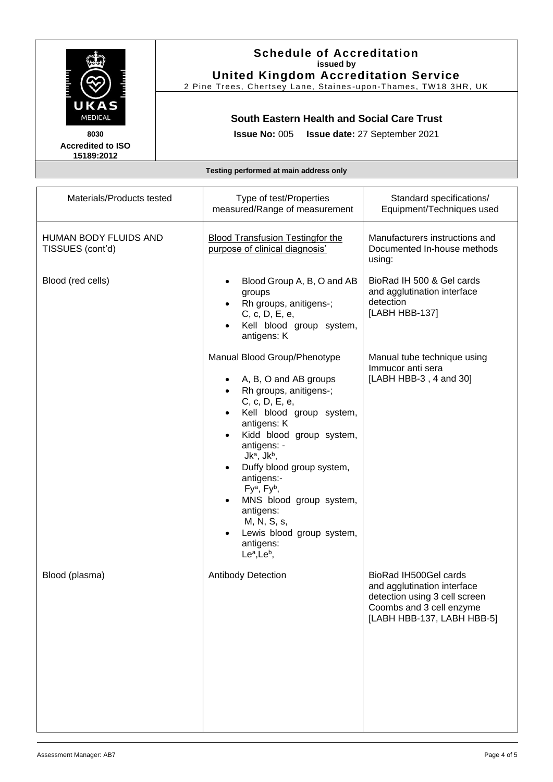| النس سب | FE E |
|---------|------|
|         |      |
| MEDICAL |      |

#### **8030 Accredited to ISO 15189:2012**

### **Schedule of Accreditation issued by United Kingdom Accreditation Service**

2 Pine Trees, Chertsey Lane, Staines -upon -Thames, TW18 3HR, UK

## **South Eastern Health and Social Care Trust**

**Issue No:** 005 **Issue date:** 27 September 2021

### **Testing performed at main address only**

| Materials/Products tested                 | Type of test/Properties<br>measured/Range of measurement                                                                                                                                                                                                                                                                                                                                                                                                 | Standard specifications/<br>Equipment/Techniques used                                                                                           |
|-------------------------------------------|----------------------------------------------------------------------------------------------------------------------------------------------------------------------------------------------------------------------------------------------------------------------------------------------------------------------------------------------------------------------------------------------------------------------------------------------------------|-------------------------------------------------------------------------------------------------------------------------------------------------|
| HUMAN BODY FLUIDS AND<br>TISSUES (cont'd) | <b>Blood Transfusion Testingfor the</b><br>purpose of clinical diagnosis'                                                                                                                                                                                                                                                                                                                                                                                | Manufacturers instructions and<br>Documented In-house methods<br>using:                                                                         |
| Blood (red cells)                         | Blood Group A, B, O and AB<br>groups<br>Rh groups, anitigens-;<br>C, c, D, E, e,<br>Kell blood group system,<br>antigens: K                                                                                                                                                                                                                                                                                                                              | BioRad IH 500 & Gel cards<br>and agglutination interface<br>detection<br>[LABH HBB-137]                                                         |
|                                           | Manual Blood Group/Phenotype<br>A, B, O and AB groups<br>Rh groups, anitigens-;<br>C, c, D, E, e,<br>Kell blood group system,<br>antigens: K<br>Kidd blood group system,<br>antigens: -<br>Jk <sup>a</sup> , Jk <sup>b</sup> ,<br>Duffy blood group system,<br>antigens:-<br>Fy <sup>a</sup> , Fy <sup>b</sup> ,<br>MNS blood group system,<br>antigens:<br>M, N, S, s,<br>Lewis blood group system,<br>antigens:<br>Le <sup>a</sup> , Le <sup>b</sup> , | Manual tube technique using<br>Immucor anti sera<br>[LABH HBB-3, 4 and 30]                                                                      |
| Blood (plasma)                            | <b>Antibody Detection</b>                                                                                                                                                                                                                                                                                                                                                                                                                                | BioRad IH500Gel cards<br>and agglutination interface<br>detection using 3 cell screen<br>Coombs and 3 cell enzyme<br>[LABH HBB-137, LABH HBB-5] |